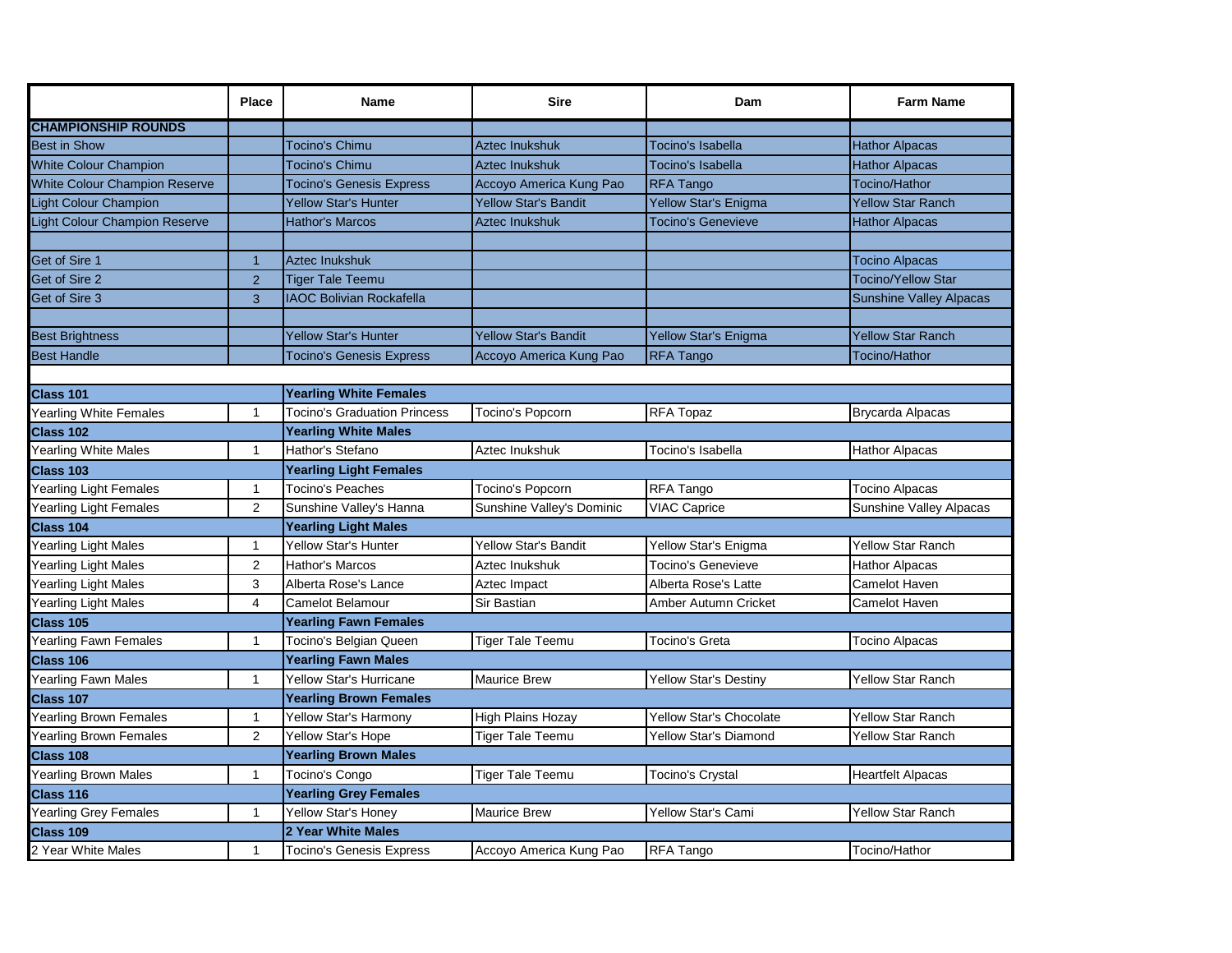|                                      | <b>Place</b>   | <b>Name</b>                         | <b>Sire</b>                 | Dam                            | <b>Farm Name</b>               |  |
|--------------------------------------|----------------|-------------------------------------|-----------------------------|--------------------------------|--------------------------------|--|
| <b>CHAMPIONSHIP ROUNDS</b>           |                |                                     |                             |                                |                                |  |
| Best in Show                         |                | Tocino's Chimu                      | <b>Aztec Inukshuk</b>       | <b>Tocino's Isabella</b>       | <b>Hathor Alpacas</b>          |  |
| <b>White Colour Champion</b>         |                | Tocino's Chimu                      | Aztec Inukshuk              | Tocino's Isabella              | <b>Hathor Alpacas</b>          |  |
| <b>White Colour Champion Reserve</b> |                | <b>Tocino's Genesis Express</b>     | Accoyo America Kung Pao     | <b>RFA Tango</b>               | Tocino/Hathor                  |  |
| Light Colour Champion                |                | <b>Yellow Star's Hunter</b>         | Yellow Star's Bandit        | Yellow Star's Enigma           | <b>Yellow Star Ranch</b>       |  |
| Light Colour Champion Reserve        |                | <b>Hathor's Marcos</b>              | Aztec Inukshuk              | <b>Tocino's Genevieve</b>      | <b>Hathor Alpacas</b>          |  |
|                                      |                |                                     |                             |                                |                                |  |
| Get of Sire 1                        | $\overline{1}$ | <b>Aztec Inukshuk</b>               |                             |                                | <b>Tocino Alpacas</b>          |  |
| Get of Sire 2                        | 2              | <b>Tiger Tale Teemu</b>             |                             |                                | <b>Tocino/Yellow Star</b>      |  |
| Get of Sire 3                        | 3              | <b>IAOC Bolivian Rockafella</b>     |                             |                                | <b>Sunshine Valley Alpacas</b> |  |
|                                      |                |                                     |                             |                                |                                |  |
| <b>Best Brightness</b>               |                | <b>Yellow Star's Hunter</b>         | <b>Yellow Star's Bandit</b> | Yellow Star's Enigma           | <b>Yellow Star Ranch</b>       |  |
| <b>Best Handle</b>                   |                | <b>Tocino's Genesis Express</b>     | Accoyo America Kung Pao     | <b>RFA Tango</b>               | Tocino/Hathor                  |  |
|                                      |                |                                     |                             |                                |                                |  |
| Class 101                            |                | <b>Yearling White Females</b>       |                             |                                |                                |  |
| Yearling White Females               | $\mathbf{1}$   | <b>Tocino's Graduation Princess</b> | Tocino's Popcorn            | RFA Topaz                      | <b>Brycarda Alpacas</b>        |  |
| <b>Class 102</b>                     |                | <b>Yearling White Males</b>         |                             |                                |                                |  |
| Yearling White Males                 | $\mathbf{1}$   | Hathor's Stefano                    | Aztec Inukshuk              | Tocino's Isabella              | <b>Hathor Alpacas</b>          |  |
| <b>Class 103</b>                     |                | <b>Yearling Light Females</b>       |                             |                                |                                |  |
| Yearling Light Females               | $\mathbf{1}$   | <b>Tocino's Peaches</b>             | Tocino's Popcorn            | RFA Tango                      | <b>Tocino Alpacas</b>          |  |
| Yearling Light Females               | $\overline{2}$ | Sunshine Valley's Hanna             | Sunshine Valley's Dominic   | <b>VIAC Caprice</b>            | Sunshine Valley Alpacas        |  |
| <b>Class 104</b>                     |                | <b>Yearling Light Males</b>         |                             |                                |                                |  |
| Yearling Light Males                 | $\mathbf{1}$   | <b>Yellow Star's Hunter</b>         | Yellow Star's Bandit        | Yellow Star's Enigma           | <b>Yellow Star Ranch</b>       |  |
| Yearling Light Males                 | 2              | Hathor's Marcos                     | Aztec Inukshuk              | <b>Tocino's Genevieve</b>      | <b>Hathor Alpacas</b>          |  |
| Yearling Light Males                 | 3              | Alberta Rose's Lance                | Aztec Impact                | Alberta Rose's Latte           | Camelot Haven                  |  |
| Yearling Light Males                 | $\overline{4}$ | <b>Camelot Belamour</b>             | Sir Bastian                 | Amber Autumn Cricket           | Camelot Haven                  |  |
| Class 105                            |                | <b>Yearling Fawn Females</b>        |                             |                                |                                |  |
| Yearling Fawn Females                | $\mathbf{1}$   | Tocino's Belgian Queen              | <b>Tiger Tale Teemu</b>     | <b>Tocino's Greta</b>          | Tocino Alpacas                 |  |
| Class 106                            |                | <b>Yearling Fawn Males</b>          |                             |                                |                                |  |
| Yearling Fawn Males                  | $\mathbf{1}$   | <b>Yellow Star's Hurricane</b>      | <b>Maurice Brew</b>         | <b>Yellow Star's Destiny</b>   | <b>Yellow Star Ranch</b>       |  |
| Class 107                            |                | <b>Yearling Brown Females</b>       |                             |                                |                                |  |
| Yearling Brown Females               | $\mathbf{1}$   | Yellow Star's Harmony               | <b>High Plains Hozay</b>    | <b>Yellow Star's Chocolate</b> | <b>Yellow Star Ranch</b>       |  |
| Yearling Brown Females               | 2              | Yellow Star's Hope                  | <b>Tiger Tale Teemu</b>     | <b>Yellow Star's Diamond</b>   | <b>Yellow Star Ranch</b>       |  |
| Class 108                            |                | <b>Yearling Brown Males</b>         |                             |                                |                                |  |
| Yearling Brown Males                 | $\mathbf{1}$   | Tocino's Congo                      | <b>Tiger Tale Teemu</b>     | Tocino's Crystal               | <b>Heartfelt Alpacas</b>       |  |
| <b>Class 116</b>                     |                | <b>Yearling Grey Females</b>        |                             |                                |                                |  |
| Yearling Grey Females                | $\mathbf{1}$   | <b>Yellow Star's Honey</b>          | <b>Maurice Brew</b>         | <b>Yellow Star's Cami</b>      | Yellow Star Ranch              |  |
| Class 109                            |                | 2 Year White Males                  |                             |                                |                                |  |
| 2 Year White Males                   | $\mathbf{1}$   | Tocino's Genesis Express            | Accoyo America Kung Pao     | RFA Tango                      | Tocino/Hathor                  |  |
|                                      |                |                                     |                             |                                |                                |  |